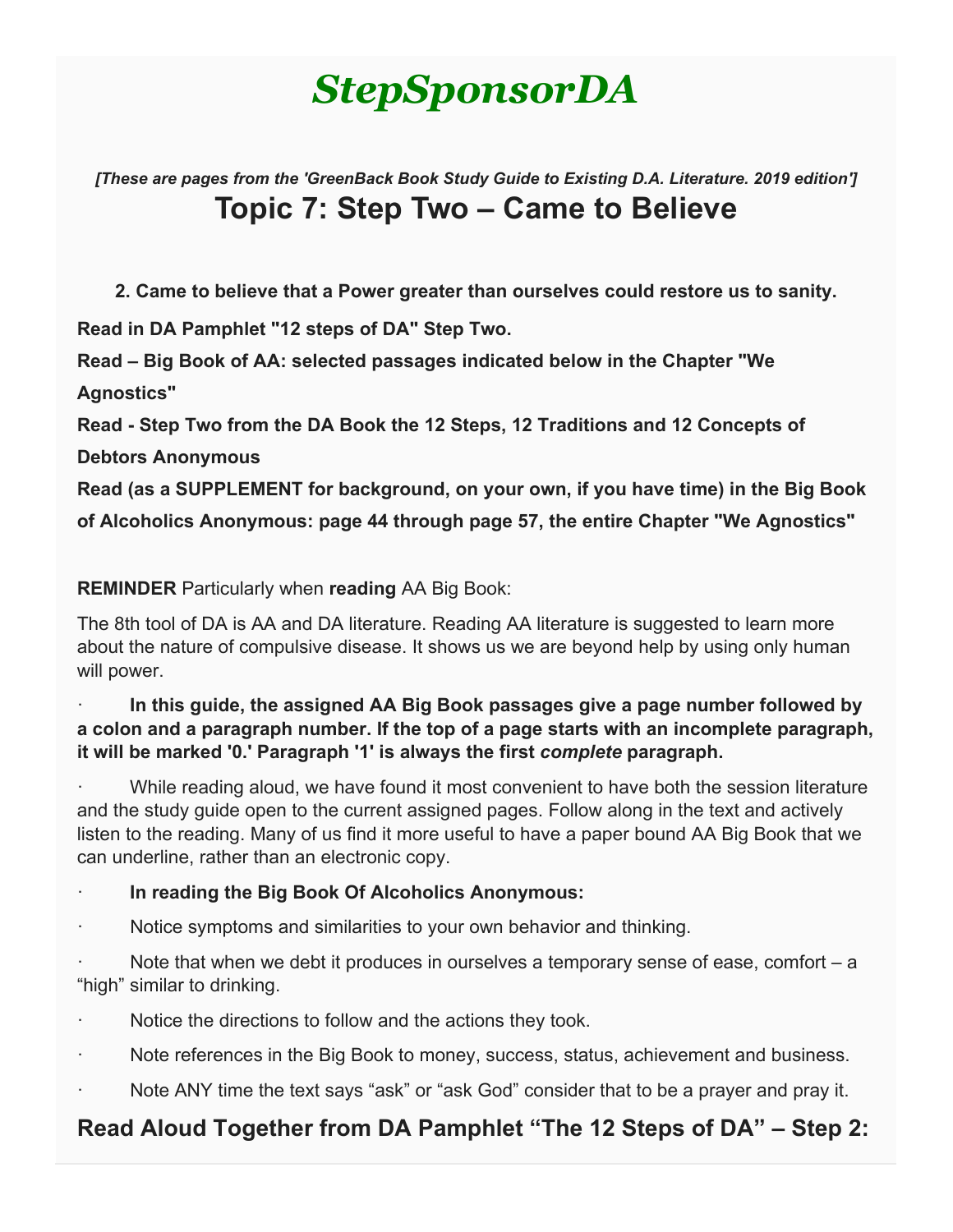# *StepSponsorDA*

*[These are pages from the 'GreenBack Book Study Guide to Existing D.A. Literature. 2019 edition']* **Topic 7: Step Two – Came to Believe**

**2. Came to believe that a Power greater than ourselves could restore us to sanity.**

**Read in DA Pamphlet "12 steps of DA" Step Two.**

**Read – Big Book of AA: selected passages indicated below in the Chapter "We Agnostics"**

**Read - Step Two from the DA Book the 12 Steps, 12 Traditions and 12 Concepts of** 

**Debtors Anonymous**

**Read (as a SUPPLEMENT for background, on your own, if you have time) in the Big Book of Alcoholics Anonymous: page 44 through page 57, the entire Chapter "We Agnostics"**

**REMINDER** Particularly when **reading** AA Big Book:

The 8th tool of DA is AA and DA literature. Reading AA literature is suggested to learn more about the nature of compulsive disease. It shows us we are beyond help by using only human will power.

#### · **In this guide, the assigned AA Big Book passages give a page number followed by a colon and a paragraph number. If the top of a page starts with an incomplete paragraph, it will be marked '0.' Paragraph '1' is always the first** *complete* **paragraph.**

While reading aloud, we have found it most convenient to have both the session literature and the study guide open to the current assigned pages. Follow along in the text and actively listen to the reading. Many of us find it more useful to have a paper bound AA Big Book that we can underline, rather than an electronic copy.

#### · **In reading the Big Book Of Alcoholics Anonymous:**

Notice symptoms and similarities to your own behavior and thinking.

Note that when we debt it produces in ourselves a temporary sense of ease, comfort  $-$  a "high" similar to drinking.

Notice the directions to follow and the actions they took.

- Note references in the Big Book to money, success, status, achievement and business.
- Note ANY time the text says "ask" or "ask God" consider that to be a prayer and pray it.

# **Read Aloud Together from DA Pamphlet "The 12 Steps of DA" – Step 2:**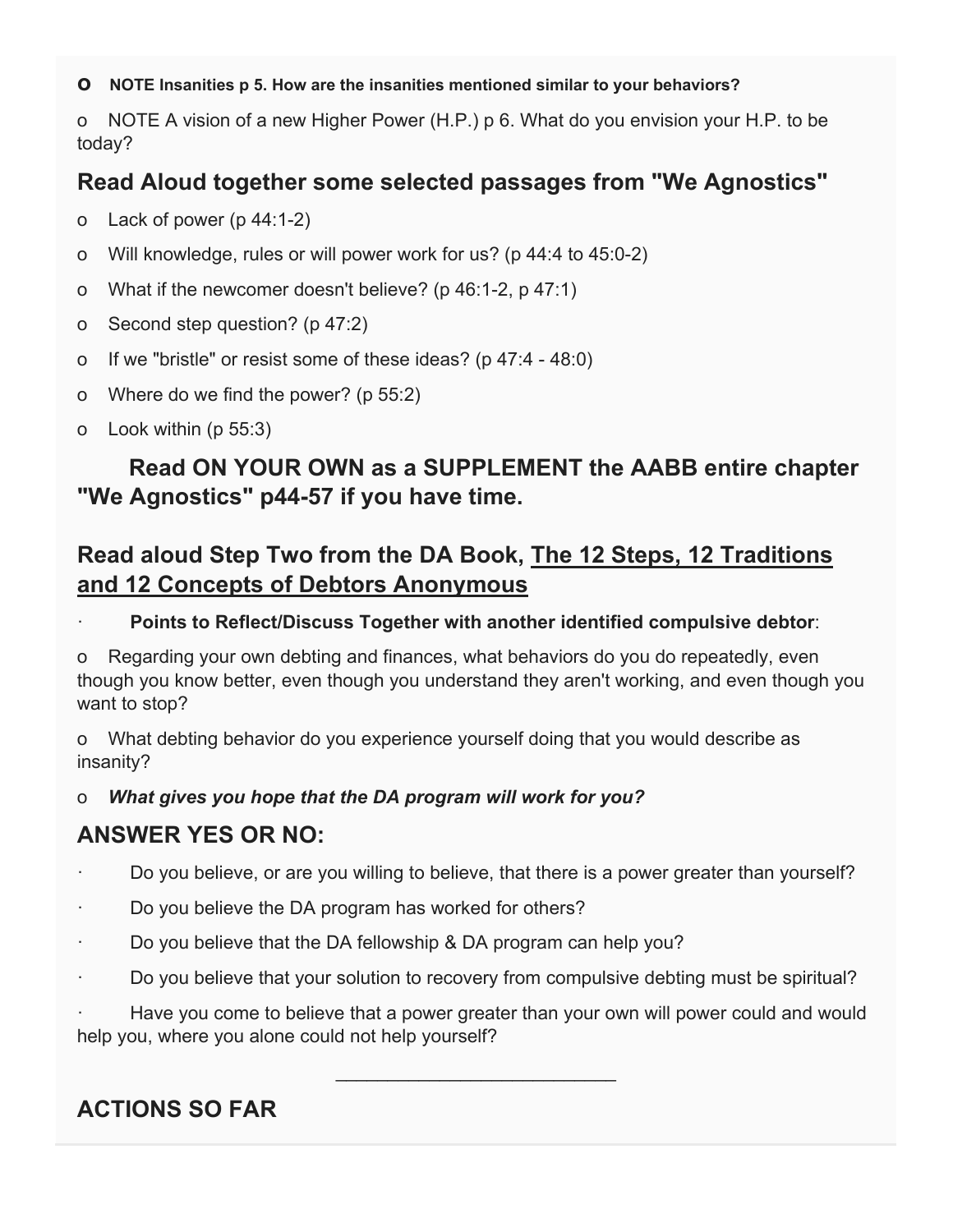#### **o NOTE Insanities p 5. How are the insanities mentioned similar to your behaviors?**

o NOTE A vision of a new Higher Power (H.P.) p 6. What do you envision your H.P. to be today?

## **Read Aloud together some selected passages from "We Agnostics"**

o Lack of power (p 44:1-2)

- o Will knowledge, rules or will power work for us? (p 44:4 to 45:0-2)
- o What if the newcomer doesn't believe? (p 46:1-2, p 47:1)
- o Second step question? (p 47:2)
- o If we "bristle" or resist some of these ideas? (p 47:4 48:0)
- o Where do we find the power? (p 55:2)
- o Look within (p 55:3)

# **Read ON YOUR OWN as a SUPPLEMENT the AABB entire chapter "We Agnostics" p44-57 if you have time.**

# **Read aloud Step Two from the DA Book, The 12 Steps, 12 Traditions and 12 Concepts of Debtors Anonymous**

· **Points to Reflect/Discuss Together with another identified compulsive debtor**:

o Regarding your own debting and finances, what behaviors do you do repeatedly, even though you know better, even though you understand they aren't working, and even though you want to stop?

o What debting behavior do you experience yourself doing that you would describe as insanity?

#### o *What gives you hope that the DA program will work for you?*

### **ANSWER YES OR NO:**

- · Do you believe, or are you willing to believe, that there is a power greater than yourself?
- Do you believe the DA program has worked for others?
- · Do you believe that the DA fellowship & DA program can help you?
- · Do you believe that your solution to recovery from compulsive debting must be spiritual?

Have you come to believe that a power greater than your own will power could and would help you, where you alone could not help yourself?

\_\_\_\_\_\_\_\_\_\_\_\_\_\_\_\_\_\_\_\_\_\_\_\_\_\_\_

# **ACTIONS SO FAR**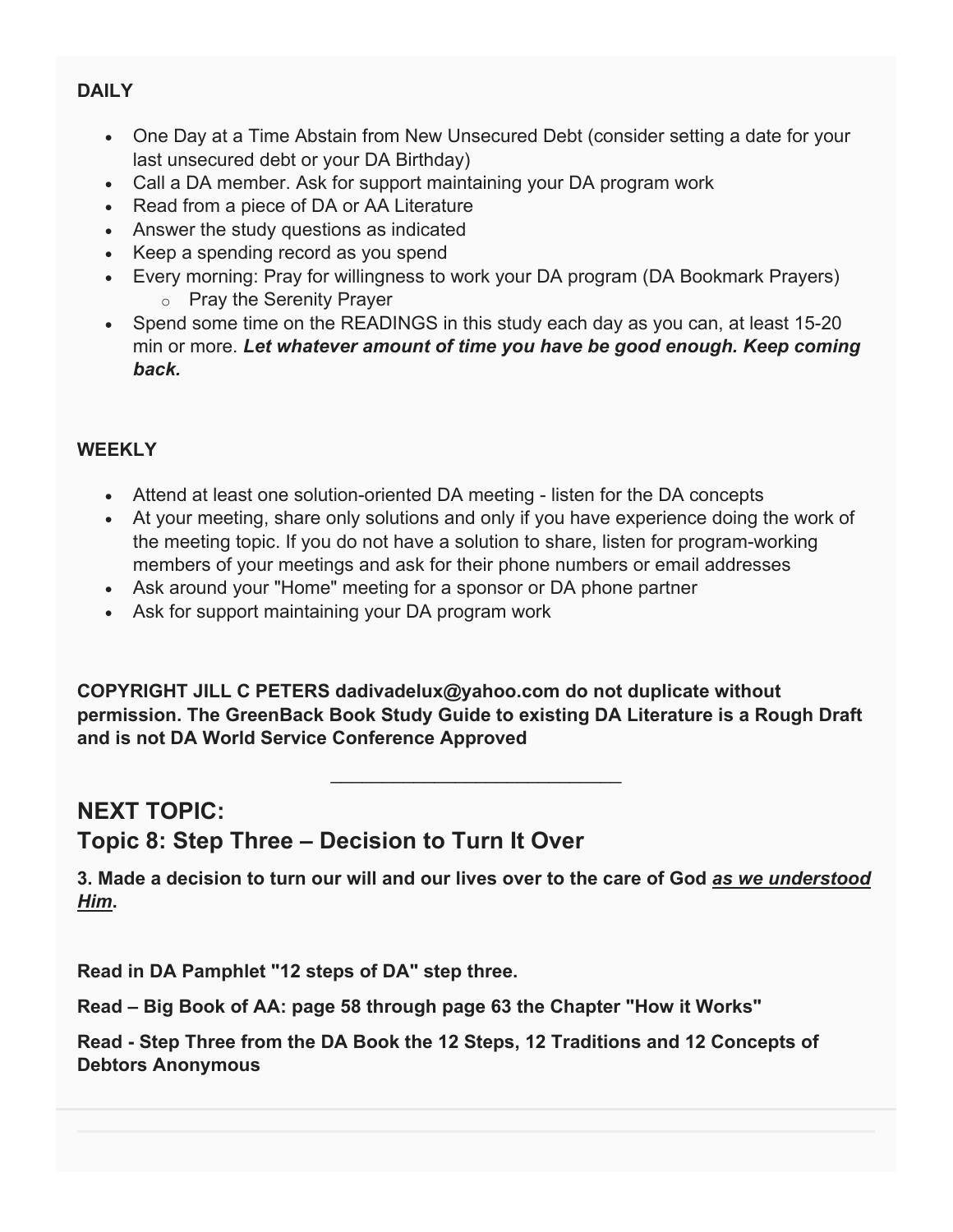#### **DAILY**

- One Day at a Time Abstain from New Unsecured Debt (consider setting a date for your last unsecured debt or your DA Birthday)
- Call a DA member. Ask for support maintaining your DA program work
- Read from a piece of DA or AA Literature
- Answer the study questions as indicated
- Keep a spending record as you spend
- Every morning: Pray for willingness to work your DA program (DA Bookmark Prayers) o Pray the Serenity Prayer
- Spend some time on the READINGS in this study each day as you can, at least 15-20 min or more. *Let whatever amount of time you have be good enough. Keep coming back.*

#### **WEEKLY**

- Attend at least one solution-oriented DA meeting listen for the DA concepts
- At your meeting, share only solutions and only if you have experience doing the work of the meeting topic. If you do not have a solution to share, listen for program-working members of your meetings and ask for their phone numbers or email addresses
- Ask around your "Home" meeting for a sponsor or DA phone partner
- Ask for support maintaining your DA program work

**COPYRIGHT JILL C PETERS dadivadelux@yahoo.com do not duplicate without permission. The GreenBack Book Study Guide to existing DA Literature is a Rough Draft and is not DA World Service Conference Approved**

\_\_\_\_\_\_\_\_\_\_\_\_\_\_\_\_\_\_\_\_\_\_\_\_\_\_\_\_

# **NEXT TOPIC: Topic 8: Step Three – Decision to Turn It Over**

**3. Made a decision to turn our will and our lives over to the care of God** *as we understood Him***.**

**Read in DA Pamphlet "12 steps of DA" step three.**

**Read – Big Book of AA: page 58 through page 63 the Chapter "How it Works"**

**Read - Step Three from the DA Book the 12 Steps, 12 Traditions and 12 Concepts of Debtors Anonymous**